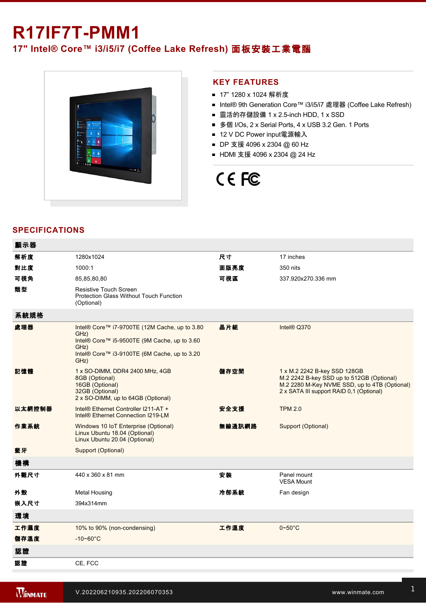## **R17IF7T-PMM1**

## **17" Intel® Core™ i3/i5/i7 (Coffee Lake Refresh)** 面板安裝工業電腦



### **KEY FEATURES**

- 17" 1280 x 1024 解析度
- Intel® 9th Generation Core™ i3/i5/i7 處理器 (Coffee Lake Refresh)
- 靈活的存儲設備 1 x 2.5-inch HDD, 1 x SSD
- 多個 I/Os, 2 x Serial Ports, 4 x USB 3.2 Gen. 1 Ports
- 12 V DC Power input電源輸入
- DP 支援 4096 x 2304 @ 60 Hz
- HDMI 支援 4096 x 2304 @ 24 Hz

# CE FC

## **SPECIFICATIONS**

| 顯示器    |                                                                                                                                                                       |        |                                                                                                                                                                        |
|--------|-----------------------------------------------------------------------------------------------------------------------------------------------------------------------|--------|------------------------------------------------------------------------------------------------------------------------------------------------------------------------|
| 解析度    | 1280x1024                                                                                                                                                             | 尺寸     | 17 inches                                                                                                                                                              |
| 對比度    | 1000:1                                                                                                                                                                | 面版亮度   | 350 nits                                                                                                                                                               |
| 可視角    | 85,85,80,80                                                                                                                                                           | 可視區    | 337.920x270.336 mm                                                                                                                                                     |
| 類型     | <b>Resistive Touch Screen</b><br>Protection Glass Without Touch Function<br>(Optional)                                                                                |        |                                                                                                                                                                        |
| 系統規格   |                                                                                                                                                                       |        |                                                                                                                                                                        |
| 處理器    | Intel® Core™ i7-9700TE (12M Cache, up to 3.80<br>GHz)<br>Intel® Core™ i5-9500TE (9M Cache, up to 3.60<br>GHz)<br>Intel® Core™ i3-9100TE (6M Cache, up to 3.20<br>GHz) | 晶片組    | Intel® Q370                                                                                                                                                            |
| 記憶體    | 1 x SO-DIMM, DDR4 2400 MHz, 4GB<br>8GB (Optional)<br>16GB (Optional)<br>32GB (Optional)<br>2 x SO-DIMM, up to 64GB (Optional)                                         | 儲存空間   | 1 x M.2 2242 B-key SSD 128GB<br>M.2 2242 B-key SSD up to 512GB (Optional)<br>M.2 2280 M-Key NVME SSD, up to 4TB (Optional)<br>2 x SATA III support RAID 0.1 (Optional) |
| 以太網控制器 | Intel® Ethernet Controller I211-AT +<br>Intel <sup>®</sup> Ethernet Connection I219-LM                                                                                | 安全支援   | <b>TPM 2.0</b>                                                                                                                                                         |
| 作業系統   | Windows 10 IoT Enterprise (Optional)<br>Linux Ubuntu 18.04 (Optional)<br>Linux Ubuntu 20.04 (Optional)                                                                | 無線通訊網路 | Support (Optional)                                                                                                                                                     |
| 藍牙     | Support (Optional)                                                                                                                                                    |        |                                                                                                                                                                        |
| 機構     |                                                                                                                                                                       |        |                                                                                                                                                                        |
| 外觀尺寸   | 440 x 360 x 81 mm                                                                                                                                                     | 安裝     | Panel mount<br><b>VESA Mount</b>                                                                                                                                       |
| 外殼     | Metal Housing                                                                                                                                                         | 冷卻系統   | Fan design                                                                                                                                                             |
| 嵌入尺寸   | 394x314mm                                                                                                                                                             |        |                                                                                                                                                                        |
| 環境     |                                                                                                                                                                       |        |                                                                                                                                                                        |
| 工作濕度   | 10% to 90% (non-condensing)                                                                                                                                           | 工作溫度   | $0 - 50$ °C                                                                                                                                                            |
| 儲存溫度   | $-10 - 60^{\circ}$ C                                                                                                                                                  |        |                                                                                                                                                                        |
| 認證     |                                                                                                                                                                       |        |                                                                                                                                                                        |
| 認證     | CE, FCC                                                                                                                                                               |        |                                                                                                                                                                        |